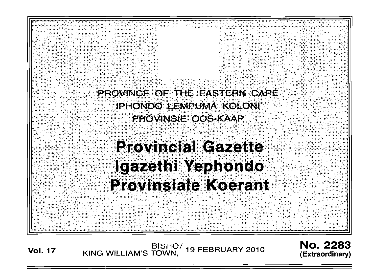

**Vol. 17** 

BISHO/<br>KING WILLIAM'S TOWN, **19 FEBRUARY 2010** 

(Extraordinary)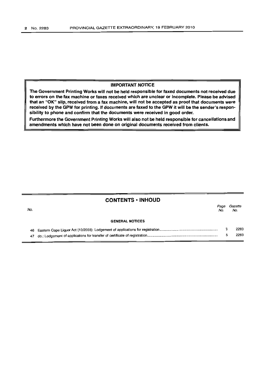## **IMPORTANT NOTICE**

**The Government Printing Works will not be held responsible for faxed documents not received due to errors on the fax machine or faxes received which are unclear or incomplete. Please be advised that an** "OK" **slip, received from a fax machine, will not be accepted as proof that documents were received by the GPW for printing. If documents are faxed to the GPW it will be the sender's responsibility to phone and confirm that the documents were received in good order.**

**Furthermore the Government Printing Works will also not be held responsible for cancellations and amendments which have not been done on original documents received from clients.**

## **CONTENTS ·INHOUD**

| No. |                        | Page<br>No. | Gazette<br>No. |
|-----|------------------------|-------------|----------------|
|     | <b>GENERAL NOTICES</b> |             |                |
|     |                        |             | 2283           |
|     |                        |             | 2283           |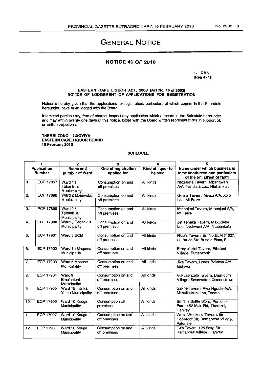# GENERAL NOTICE

### **NOTICE 46 OF** 2010

1. CM3 [Reg 4 (1)]

#### EASTERN CAPE UQUOR ACT, 2003 (Act No. 10 of 2003) N01nCE OF LODGEMENT OF APPLICATIONS FOR REGISTRATION

Notice is hereby given that the applications for registration, particulars of which appear in the Schedule hereunder, have been lodged with the Board.

Interested parties may, free of charge, inspect any application which appears in the Schedule hereunder and may within twenty one days of this notice, lodge with the Board written representations in support of, or written objections,

#### THEMBI ZONO - GXOYIYA EASTERN CAPE LIQUOR BOARD 10 February 2010

#### SCHEDULE

| 1                                   |                  | 2                                     | 3                                   | 4                            | 5                                                                                             |  |
|-------------------------------------|------------------|---------------------------------------|-------------------------------------|------------------------------|-----------------------------------------------------------------------------------------------|--|
| <b>Application</b><br><b>Number</b> |                  | Name and<br>number of Ward            | Kind of registration<br>applied for | Kind of liquor to<br>be sold | Name under which business is<br>to be conducted and particulars<br>of the erf, street or farm |  |
| 1.                                  | ECP 17897        | Ward 12<br>Tabankulu<br>Municipality  | Consumption on and<br>off premises  | All kinds                    | Ntozakhe Tavern, Mbangweni<br>A/A, Yandlala Loc, Ntabankulu                                   |  |
| 2.                                  | <b>ECP 17898</b> | Ward 2 Mzimvubu<br>Municipality       | Consumption on and<br>off premises  | All kinds                    | Golina Tavern, Mvuzi A/A, Xolo<br>Loc. Mt Frere                                               |  |
| 3.                                  | <b>ECP 17899</b> | Ward 22<br>Tabankulu<br>Municipality  | Consumption on and<br>off premises  | All kinds                    | Mthonjeni Tavern, Mthonjeni A/A,<br>Mt Frere                                                  |  |
| 4.                                  | ECP 17900        | Ward 3 Tabankulu<br>Municipality      | Consumption on and<br>off premises  | All kinds                    | Jet Tshaka Tavern, Maxudebe<br>Loc, Nyokweni A/A, Ntabankulu                                  |  |
| 5.                                  | ECP 17901        | Ward 5 BCM                            | Consumption on and<br>off premises  | All kinds                    | Rico's Tavern, Erf No.ELM 31627,<br>22 Bruce Str, Buffalo Flats, EL                           |  |
| 6.                                  | <b>ECP 17902</b> | Ward 12 Mnguma<br>Municipality        | Consumption on and<br>off premises  | All kinds                    | Emtyibilizini Tavern, Etholeni<br>Village, Butterworth                                        |  |
| 7.                                  | ECP 17903        | Ward 5 Mbashe<br>Municipality         | Consumption on and<br>off premises  | All kinds                    | Jika Tavern, Lower Bolotwa A/A,<br>Idutywa                                                    |  |
| 8.                                  | ECP 17904        | Ward 9<br>Emalahleni<br>Municipality  | Consumption on and<br>off premises  | All kinds                    | Vukuzenzele Tavern, Dum-dum<br>Village, Swartwater, Queenstown                                |  |
| 9.                                  | ECP 17905        | Ward 19 Intsika<br>Yethu Municipality | Consumption on and<br>off premises  | All kinds                    | Sakhe Tavern, Kwa Ngudle A/A,<br>Mkhuthukeni Loc, Tsomo                                       |  |
| 10.                                 | <b>ECP 17906</b> | Ward 10 Kouga<br>Municipality         | Consumption off<br>premises         | All kinds                    | Smith's Bottle Store, Portion 4<br>Farm 452 Main Rd, Thornhill,<br>Hankey                     |  |
| 11.                                 | <b>ECP 17907</b> | Ward 10 Kouga<br>Municipality         | Consumption on and<br>off premises  | All kinds                    | Woza Weekend Tavern, 88<br>Rooikloof Str, Ramaposa Village,<br>Patensie                       |  |
| 12.                                 | <b>ECP 17908</b> | Ward 10 Kouga<br>Municipality         | Consumption on and<br>off premises  | All kinds                    | PJ's Tavern, 125 Berg Str,<br>Ramaposa Village, Hankey                                        |  |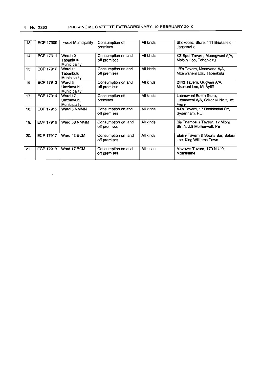$\sim 10^{-1}$ 

| 13. | ECP 17909 | Ikwezi Municipality                  | Consumption off<br>premises        | All kinds | Shokobezi Store, 111 Bricksfield,<br>Jansenville                      |  |
|-----|-----------|--------------------------------------|------------------------------------|-----------|-----------------------------------------------------------------------|--|
| 14. | ECP 17911 | Ward 12<br>Tabankulu<br>Municipality | Consumption on and<br>off premises | All kinds | KZ Spot Tavern, Mbangweni A/A,<br>Mpisini Loc, Tabankulu              |  |
| 15. | ECP 17912 | Ward 11<br>Tabankulu<br>Municipality | Consumption on and<br>off premises | All kinds | JB's Tavern, Mvenyana A/A,<br>Mzalwaneni Loc, Tabankulu               |  |
| 16. | ECP 17913 | Ward 3<br>Umzimvubu<br>Municipality  | Consumption on and<br>off premises | All kinds | 2442 Tavern, Gugwini A/A,<br>Msukeni Loc, Mt Ayliff                   |  |
| 17. | ECP 17914 | Ward 17<br>Umzimvubu<br>Municipality | Consumption off<br>premises        | All kinds | Lubacweni Bottle Store,<br>Lubacweni A/A, Sdikidiki No.1, Mt<br>Frere |  |
| 18. | ECP 17915 | Ward 5 NMMM                          | Consumption on and<br>off premises | All kinds | AJ's Tavern, 17 Residential Str,<br>Sydenham, PE                      |  |
| 19. | ECP 17916 | Ward 58 NMMM                         | Consumption on and<br>off premises | All kinds | Sis Thembsi's Tavern, 17 Mlonji<br>Str. N.U.8 Motherwell, PE          |  |
| 20. | ECP 17917 | Ward 42 BCM                          | Consumption on and<br>off premises | All kinds | Elalini Tavern & Sports Bar, Balasi<br>Loc, King Williams Town        |  |
| 21. | ECP 17918 | Ward 17 BCM                          | Consumption on and<br>off premises | All kinds | Mazow's Tavern, 179 N.U.9,<br>Mdantsane                               |  |